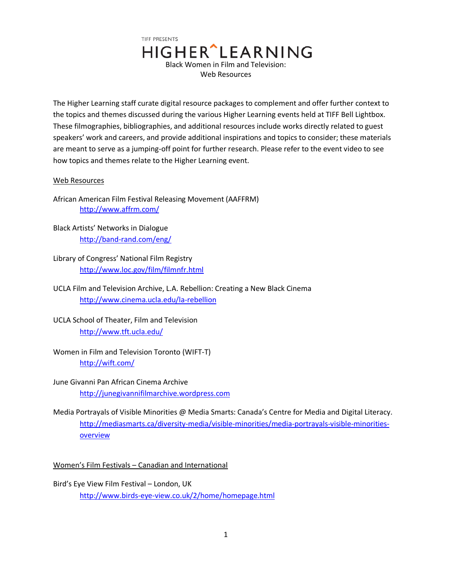

The Higher Learning staff curate digital resource packages to complement and offer further context to the topics and themes discussed during the various Higher Learning events held at TIFF Bell Lightbox. These filmographies, bibliographies, and additional resources include works directly related to guest speakers' work and careers, and provide additional inspirations and topics to consider; these materials are meant to serve as a jumping-off point for further research. Please refer to the event video to see how topics and themes relate to the Higher Learning event.

## Web Resources

African American Film Festival Releasing Movement (AAFFRM) <http://www.affrm.com/>

- Black Artists' Networks in Dialogue <http://band-rand.com/eng/>
- Library of Congress' National Film Registry <http://www.loc.gov/film/filmnfr.html>
- UCLA Film and Television Archive, L.A. Rebellion: Creating a New Black Cinema <http://www.cinema.ucla.edu/la-rebellion>
- UCLA School of Theater, Film and Television <http://www.tft.ucla.edu/>
- Women in Film and Television Toronto (WIFT-T) <http://wift.com/>
- June Givanni Pan African Cinema Archive [http://junegivannifilmarchive.wordpress.com](http://junegivannifilmarchive.wordpress.com/)
- Media Portrayals of Visible Minorities @ Media Smarts: Canada's Centre for Media and Digital Literacy. [http://mediasmarts.ca/diversity-media/visible-minorities/media-portrayals-visible-minorities](http://mediasmarts.ca/diversity-media/visible-minorities/media-portrayals-visible-minorities-overview)[overview](http://mediasmarts.ca/diversity-media/visible-minorities/media-portrayals-visible-minorities-overview)

Women's Film Festivals – Canadian and International

Bird's Eye View Film Festival – London, UK <http://www.birds-eye-view.co.uk/2/home/homepage.html>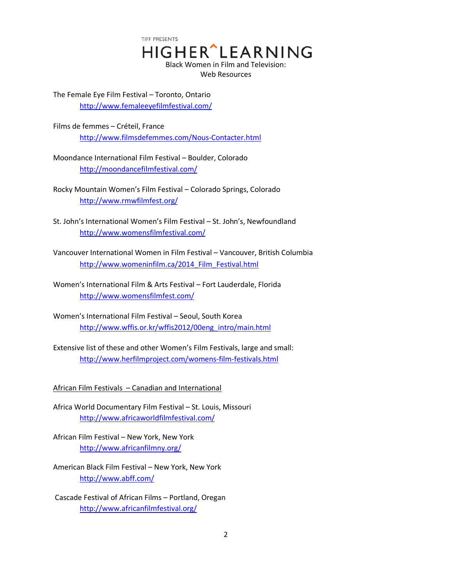TIFF PRESENTS **HIGHER** LEARNING Black Women in Film and Television: Web Resources

The Female Eye Film Festival – Toronto, Ontario <http://www.femaleeyefilmfestival.com/>

Films de femmes – Créteil, France <http://www.filmsdefemmes.com/Nous-Contacter.html>

Moondance International Film Festival – Boulder, Colorado <http://moondancefilmfestival.com/>

Rocky Mountain Women's Film Festival – Colorado Springs, Colorado <http://www.rmwfilmfest.org/>

- St. John's International Women's Film Festival St. John's, Newfoundland <http://www.womensfilmfestival.com/>
- Vancouver International Women in Film Festival Vancouver, British Columbia http://www.womeninfilm.ca/2014 Film Festival.html
- Women's International Film & Arts Festival Fort Lauderdale, Florida <http://www.womensfilmfest.com/>
- Women's International Film Festival Seoul, South Korea [http://www.wffis.or.kr/wffis2012/00eng\\_intro/main.html](http://www.wffis.or.kr/wffis2012/00eng_intro/main.html)
- Extensive list of these and other Women's Film Festivals, large and small: <http://www.herfilmproject.com/womens-film-festivals.html>

African Film Festivals – Canadian and International

- Africa World Documentary Film Festival St. Louis, Missouri <http://www.africaworldfilmfestival.com/>
- African Film Festival New York, New York <http://www.africanfilmny.org/>
- American Black Film Festival New York, New York <http://www.abff.com/>

Cascade Festival of African Films – Portland, Oregan <http://www.africanfilmfestival.org/>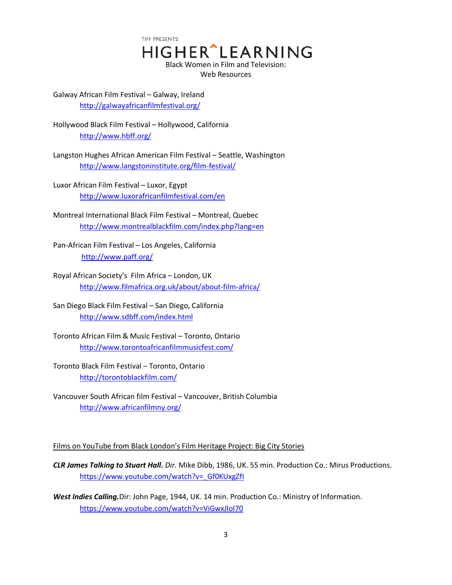TIFF PRESENTS HIGHER^LEARNING Black Women in Film and Television: Web Resources

Galway African Film Festival – Galway, Ireland <http://galwayafricanfilmfestival.org/>

Hollywood Black Film Festival – Hollywood, California <http://www.hbff.org/>

Langston Hughes African American Film Festival – Seattle, Washington <http://www.langstoninstitute.org/film-festival/>

Luxor African Film Festival – Luxor, Egypt <http://www.luxorafricanfilmfestival.com/en>

Montreal International Black Film Festival – Montreal, Quebec <http://www.montrealblackfilm.com/index.php?lang=en>

Pan-African Film Festival – Los Angeles, California <http://www.paff.org/>

Royal African Society's Film Africa – London, UK <http://www.filmafrica.org.uk/about/about-film-africa/>

San Diego Black Film Festival – San Diego, California <http://www.sdbff.com/index.html>

Toronto African Film & Music Festival – Toronto, Ontario <http://www.torontoafricanfilmmusicfest.com/>

Toronto Black Film Festival – Toronto, Ontario <http://torontoblackfilm.com/>

Vancouver South African film Festival – Vancouver, British Columbia <http://www.africanfilmny.org/>

Films on YouTube from Black London's Film Heritage Project: Big City Stories

*CLR James Talking to Stuart Hall. Dir.* Mike Dibb, 1986, UK. 55 min. Production Co.: Mirus Productions. https://www.youtube.com/watch?v= Gf0KUxgZfI

*West Indies Calling.*Dir: John Page, 1944, UK. 14 min. Production Co.: Ministry of Information. <https://www.youtube.com/watch?v=ViGwxJloI70>